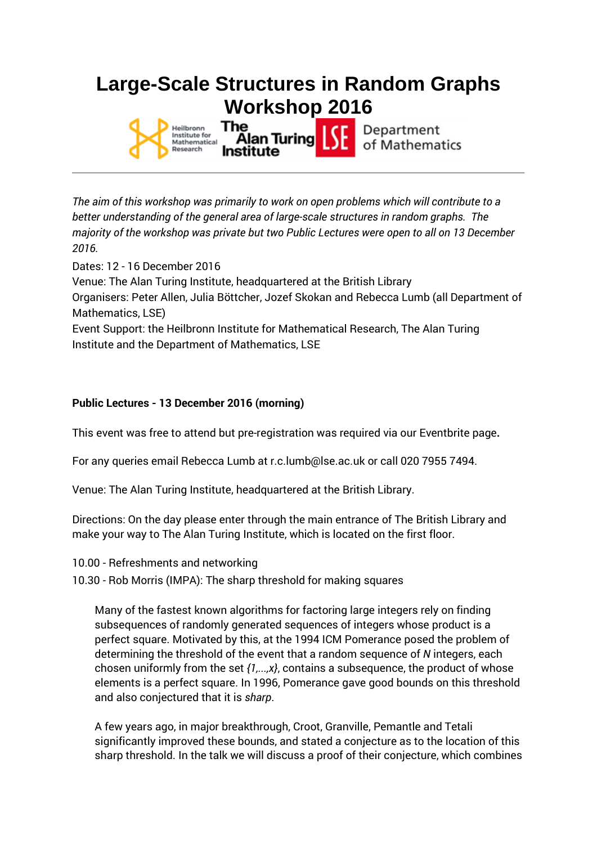## **Large-Scale Structures in Random Graphs Workshop 2016**



*The aim of this workshop was primarily to work on open problems which will contribute to a better understanding of the general area of large-scale structures in random graphs. The majority of the workshop was private but two Public Lectures were open to all on 13 December 2016.*

Dates: 12 - 16 December 2016

Venue: The Alan Turing Institute, headquartered at the British Library

Organisers: Peter Allen, Julia Böttcher, Jozef Skokan and Rebecca Lumb (all Department of Mathematics, LSE)

Event Support: the Heilbronn Institute for Mathematical Research, The Alan Turing Institute and the Department of Mathematics, LSE

## **Public Lectures - 13 December 2016 (morning)**

This event was free to attend but pre-registration was required via our Eventbrite page**.**

For any queries email Rebecca Lumb at r.c.lumb@lse.ac.uk or call 020 7955 7494.

Venue: The Alan Turing Institute, headquartered at the British Library.

Directions: On the day please enter through the main entrance of The British Library and make your way to The Alan Turing Institute, which is located on the first floor.

- 10.00 Refreshments and networking
- 10.30 Rob Morris (IMPA): The sharp threshold for making squares

Many of the fastest known algorithms for factoring large integers rely on finding subsequences of randomly generated sequences of integers whose product is a perfect square. Motivated by this, at the 1994 ICM Pomerance posed the problem of determining the threshold of the event that a random sequence of *N* integers, each chosen uniformly from the set *{1,...,x}*, contains a subsequence, the product of whose elements is a perfect square. In 1996, Pomerance gave good bounds on this threshold and also conjectured that it is *sharp*.

A few years ago, in major breakthrough, Croot, Granville, Pemantle and Tetali significantly improved these bounds, and stated a conjecture as to the location of this sharp threshold. In the talk we will discuss a proof of their conjecture, which combines